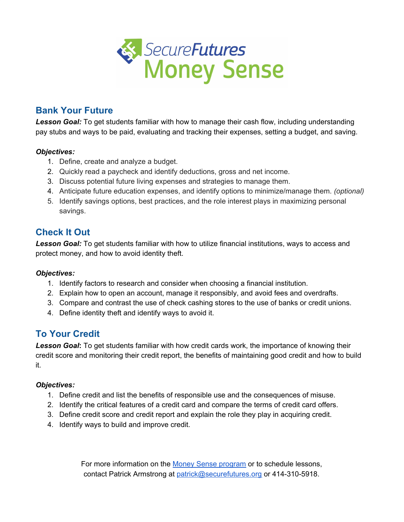

## **Bank Your Future**

*Lesson Goal:* To get students familiar with how to manage their cash flow, including understanding pay stubs and ways to be paid, evaluating and tracking their expenses, setting a budget, and saving.

### *Objectives:*

- 1. Define, create and analyze a budget.
- 2. Quickly read a paycheck and identify deductions, gross and net income.
- 3. Discuss potential future living expenses and strategies to manage them.
- 4. Anticipate future education expenses, and identify options to minimize/manage them. *(optional)*
- 5. Identify savings options, best practices, and the role interest plays in maximizing personal savings.

## **Check It Out**

*Lesson Goal:* To get students familiar with how to utilize financial institutions, ways to access and protect money, and how to avoid identity theft.

### *Objectives:*

- 1. Identify factors to research and consider when choosing a financial institution.
- 2. Explain how to open an account, manage it responsibly, and avoid fees and overdrafts.
- 3. Compare and contrast the use of check cashing stores to the use of banks or credit unions.
- 4. Define identity theft and identify ways to avoid it.

## **To Your Credit**

*Lesson Goal***:** To get students familiar with how credit cards work, the importance of knowing their credit score and monitoring their credit report, the benefits of maintaining good credit and how to build it.

### *Objectives:*

- 1. Define credit and list the benefits of responsible use and the consequences of misuse.
- 2. Identify the critical features of a credit card and compare the terms of credit card offers.
- 3. Define credit score and credit report and explain the role they play in acquiring credit.
- 4. Identify ways to build and improve credit.

For more information on the Money Sense [program](https://securefutures.org/core-programs/) or to schedule lessons, contact Patrick Armstrong at [patrick@securefutures.org](mailto:patrick@securefutures.org) or 414-310-5918.